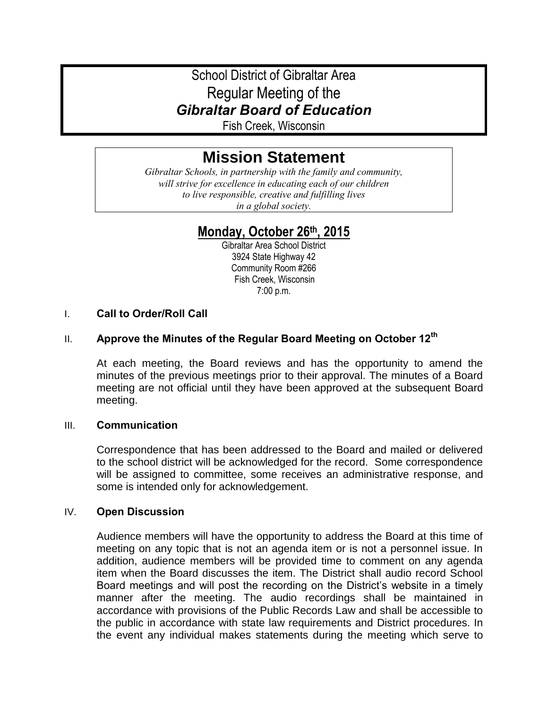# School District of Gibraltar Area Regular Meeting of the *Gibraltar Board of Education*

Fish Creek, Wisconsin

# **Mission Statement**

*Gibraltar Schools, in partnership with the family and community, will strive for excellence in educating each of our children to live responsible, creative and fulfilling lives in a global society.*

# **Monday, October 26th, 2015**

Gibraltar Area School District 3924 State Highway 42 Community Room #266 Fish Creek, Wisconsin 7:00 p.m.

# I. **Call to Order/Roll Call**

# II. **Approve the Minutes of the Regular Board Meeting on October 12th**

At each meeting, the Board reviews and has the opportunity to amend the minutes of the previous meetings prior to their approval. The minutes of a Board meeting are not official until they have been approved at the subsequent Board meeting.

#### III. **Communication**

Correspondence that has been addressed to the Board and mailed or delivered to the school district will be acknowledged for the record. Some correspondence will be assigned to committee, some receives an administrative response, and some is intended only for acknowledgement.

#### IV. **Open Discussion**

Audience members will have the opportunity to address the Board at this time of meeting on any topic that is not an agenda item or is not a personnel issue. In addition, audience members will be provided time to comment on any agenda item when the Board discusses the item. The District shall audio record School Board meetings and will post the recording on the District's website in a timely manner after the meeting. The audio recordings shall be maintained in accordance with provisions of the Public Records Law and shall be accessible to the public in accordance with state law requirements and District procedures. In the event any individual makes statements during the meeting which serve to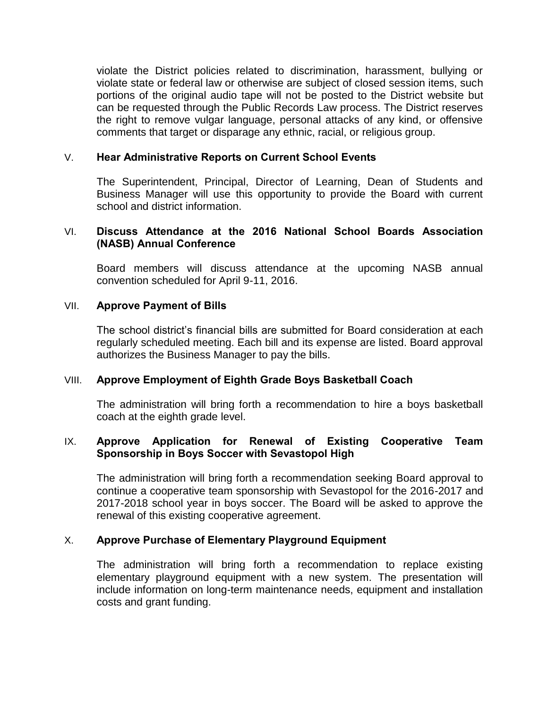violate the District policies related to discrimination, harassment, bullying or violate state or federal law or otherwise are subject of closed session items, such portions of the original audio tape will not be posted to the District website but can be requested through the Public Records Law process. The District reserves the right to remove vulgar language, personal attacks of any kind, or offensive comments that target or disparage any ethnic, racial, or religious group.

## V. **Hear Administrative Reports on Current School Events**

The Superintendent, Principal, Director of Learning, Dean of Students and Business Manager will use this opportunity to provide the Board with current school and district information.

# VI. **Discuss Attendance at the 2016 National School Boards Association (NASB) Annual Conference**

Board members will discuss attendance at the upcoming NASB annual convention scheduled for April 9-11, 2016.

#### VII. **Approve Payment of Bills**

The school district's financial bills are submitted for Board consideration at each regularly scheduled meeting. Each bill and its expense are listed. Board approval authorizes the Business Manager to pay the bills.

#### VIII. **Approve Employment of Eighth Grade Boys Basketball Coach**

The administration will bring forth a recommendation to hire a boys basketball coach at the eighth grade level.

#### IX. **Approve Application for Renewal of Existing Cooperative Team Sponsorship in Boys Soccer with Sevastopol High**

The administration will bring forth a recommendation seeking Board approval to continue a cooperative team sponsorship with Sevastopol for the 2016-2017 and 2017-2018 school year in boys soccer. The Board will be asked to approve the renewal of this existing cooperative agreement.

#### X. **Approve Purchase of Elementary Playground Equipment**

The administration will bring forth a recommendation to replace existing elementary playground equipment with a new system. The presentation will include information on long-term maintenance needs, equipment and installation costs and grant funding.